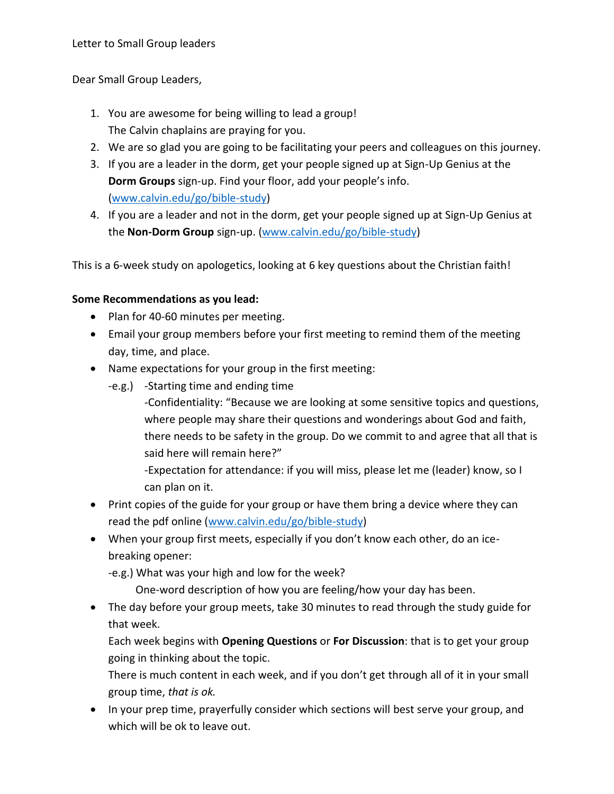Dear Small Group Leaders,

- 1. You are awesome for being willing to lead a group! The Calvin chaplains are praying for you.
- 2. We are so glad you are going to be facilitating your peers and colleagues on this journey.
- 3. If you are a leader in the dorm, get your people signed up at Sign-Up Genius at the **Dorm Groups** sign-up. Find your floor, add your people's info. [\(www.calvin.edu/go/bible-study\)](http://www.calvin.edu/go/bible-study)
- 4. If you are a leader and not in the dorm, get your people signed up at Sign-Up Genius at the **Non-Dorm Group** sign-up. [\(www.calvin.edu/go/bible-study\)](http://www.calvin.edu/go/bible-study)

This is a 6-week study on apologetics, looking at 6 key questions about the Christian faith!

## **Some Recommendations as you lead:**

- Plan for 40-60 minutes per meeting.
- Email your group members before your first meeting to remind them of the meeting day, time, and place.
- Name expectations for your group in the first meeting:
	- -e.g.) -Starting time and ending time
		- -Confidentiality: "Because we are looking at some sensitive topics and questions, where people may share their questions and wonderings about God and faith, there needs to be safety in the group. Do we commit to and agree that all that is said here will remain here?"
		- -Expectation for attendance: if you will miss, please let me (leader) know, so I can plan on it.
- Print copies of the guide for your group or have them bring a device where they can read the pdf online [\(www.calvin.edu/go/bible-study\)](http://www.calvin.edu/go/bible-study)
- When your group first meets, especially if you don't know each other, do an icebreaking opener:
	- -e.g.) What was your high and low for the week?
		- One-word description of how you are feeling/how your day has been.
- The day before your group meets, take 30 minutes to read through the study guide for that week.

Each week begins with **Opening Questions** or **For Discussion**: that is to get your group going in thinking about the topic.

There is much content in each week, and if you don't get through all of it in your small group time, *that is ok.*

• In your prep time, prayerfully consider which sections will best serve your group, and which will be ok to leave out.